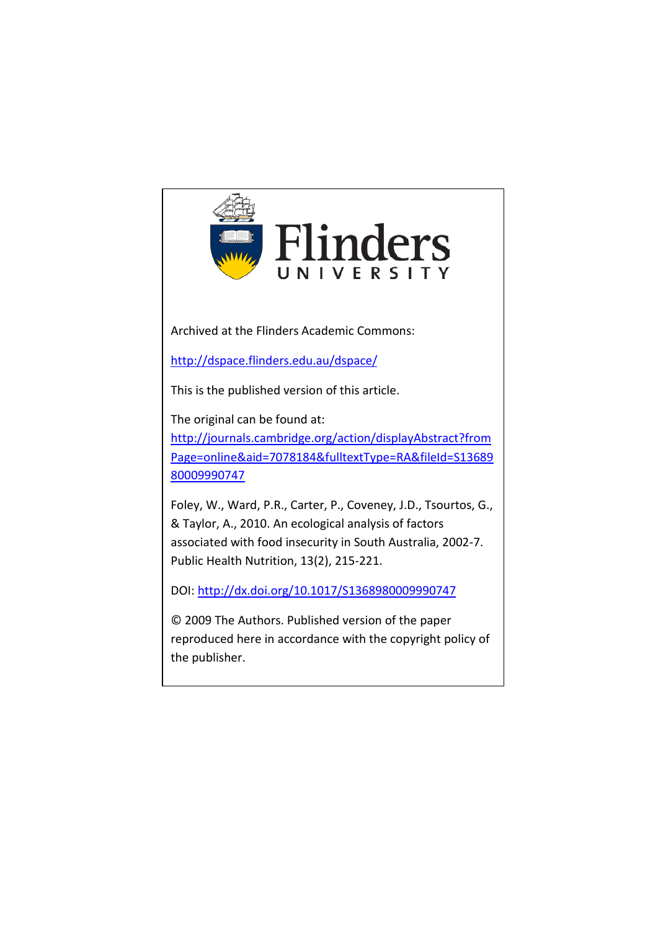

Archived at the Flinders Academic Commons:

<http://dspace.flinders.edu.au/dspace/>

This is the published version of this article.

The original can be found at:

[http://journals.cambridge.org/action/displayAbstract?from](http://journals.cambridge.org/action/displayAbstract?fromPage=online&aid=7078184&fulltextType=RA&fileId=S1368980009990747) [Page=online&aid=7078184&fulltextType=RA&fileId=S13689](http://journals.cambridge.org/action/displayAbstract?fromPage=online&aid=7078184&fulltextType=RA&fileId=S1368980009990747) [80009990747](http://journals.cambridge.org/action/displayAbstract?fromPage=online&aid=7078184&fulltextType=RA&fileId=S1368980009990747)

Foley, W., Ward, P.R., Carter, P., Coveney, J.D., Tsourtos, G., & Taylor, A., 2010. An ecological analysis of factors associated with food insecurity in South Australia, 2002-7. Public Health Nutrition, 13(2), 215-221.

DOI:<http://dx.doi.org/10.1017/S1368980009990747>

© 2009 The Authors. Published version of the paper reproduced here in accordance with the copyright policy of the publisher.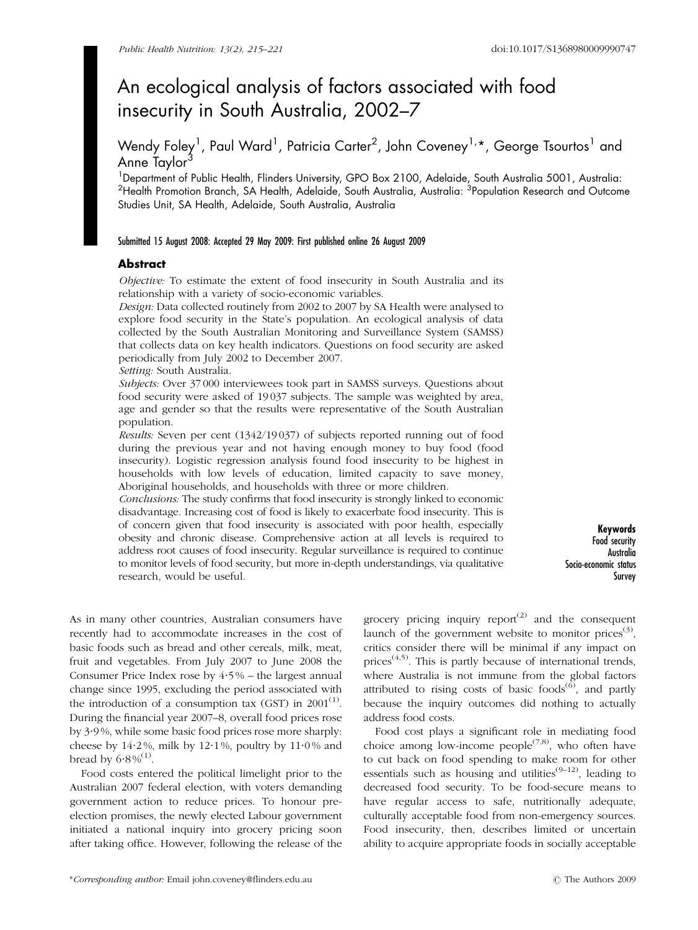# An ecological analysis of factors associated with food insecurity in South Australia, 2002–7

Wendy Foley<sup>1</sup>, Paul Ward<sup>1</sup>, Patricia Carter<sup>2</sup>, John Coveney<sup>1,</sup>\*, George Tsourtos<sup>1</sup> and Anne Taylor<sup>3</sup>

<sup>1</sup>Department of Public Health, Flinders University, GPO Box 2100, Adelaide, South Australia 5001, Australia: <sup>2</sup>Health Promotion Branch, SA Health, Adelaide, South Australia, Australia: <sup>3</sup>Population Research and Outcome Studies Unit, SA Health, Adelaide, South Australia, Australia

## Submitted 15 August 2008: Accepted 29 May 2009: First published online 26 August 2009

# **Abstract**

Objective: To estimate the extent of food insecurity in South Australia and its relationship with a variety of socio-economic variables.

Design: Data collected routinely from 2002 to 2007 by SA Health were analysed to explore food security in the State's population. An ecological analysis of data collected by the South Australian Monitoring and Surveillance System (SAMSS) that collects data on key health indicators. Questions on food security are asked periodically from July 2002 to December 2007.

Setting: South Australia.

Subjects: Over 37 000 interviewees took part in SAMSS surveys. Questions about food security were asked of 19 037 subjects. The sample was weighted by area, age and gender so that the results were representative of the South Australian population.

Results: Seven per cent (1342/19 037) of subjects reported running out of food during the previous year and not having enough money to buy food (food insecurity). Logistic regression analysis found food insecurity to be highest in households with low levels of education, limited capacity to save money, Aboriginal households, and households with three or more children.

Conclusions: The study confirms that food insecurity is strongly linked to economic disadvantage. Increasing cost of food is likely to exacerbate food insecurity. This is of concern given that food insecurity is associated with poor health, especially obesity and chronic disease. Comprehensive action at all levels is required to address root causes of food insecurity. Regular surveillance is required to continue to monitor levels of food security, but more in-depth understandings, via qualitative research, would be useful.

Keywords Food security **Australia** Socio-economic status Survey

As in many other countries, Australian consumers have recently had to accommodate increases in the cost of basic foods such as bread and other cereals, milk, meat, fruit and vegetables. From July 2007 to June 2008 the Consumer Price Index rose by  $4.5\%$  – the largest annual change since 1995, excluding the period associated with the introduction of a consumption tax (GST) in  $2001^{(1)}$ . During the financial year 2007–8, overall food prices rose by 3?9 %, while some basic food prices rose more sharply: cheese by  $14.2\%$ , milk by  $12.1\%$ , poultry by  $11.0\%$  and bread by  $6.8\%^{(1)}$ .

Food costs entered the political limelight prior to the Australian 2007 federal election, with voters demanding government action to reduce prices. To honour preelection promises, the newly elected Labour government initiated a national inquiry into grocery pricing soon after taking office. However, following the release of the grocery pricing inquiry report<sup> $(2)$ </sup> and the consequent launch of the government website to monitor prices<sup>(3)</sup>, critics consider there will be minimal if any impact on prices<sup> $(4,5)$ </sup>. This is partly because of international trends, where Australia is not immune from the global factors attributed to rising costs of basic foods $^{(6)}$ , and partly because the inquiry outcomes did nothing to actually address food costs.

Food cost plays a significant role in mediating food choice among low-income people<sup> $(7,8)$ </sup>, who often have to cut back on food spending to make room for other essentials such as housing and utilities<sup> $(9-12)$ </sup>, leading to decreased food security. To be food-secure means to have regular access to safe, nutritionally adequate, culturally acceptable food from non-emergency sources. Food insecurity, then, describes limited or uncertain ability to acquire appropriate foods in socially acceptable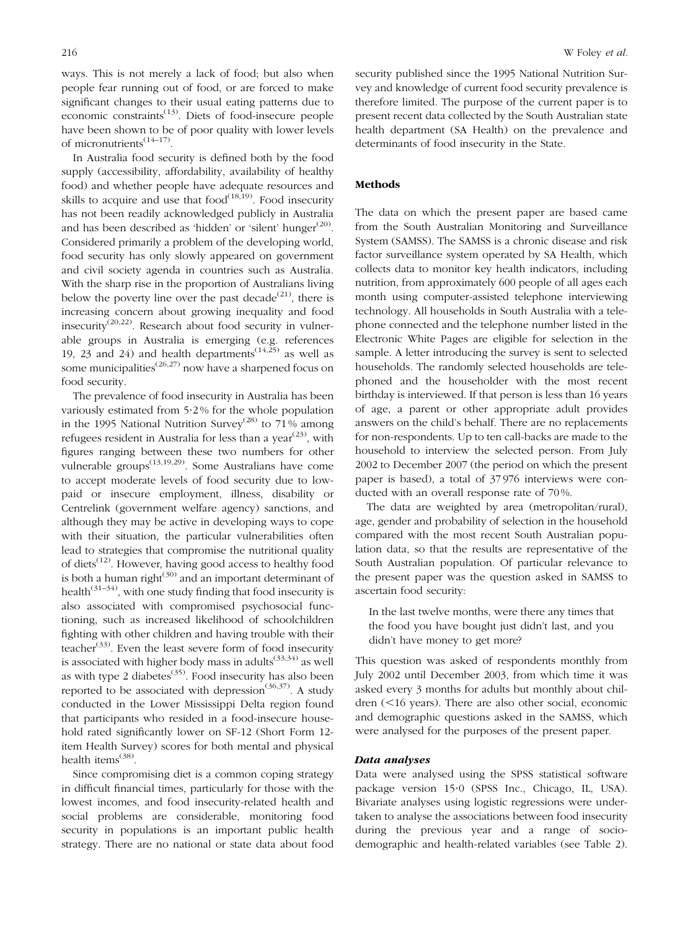ways. This is not merely a lack of food; but also when people fear running out of food, or are forced to make significant changes to their usual eating patterns due to economic constraints<sup> $(13)$ </sup>. Diets of food-insecure people have been shown to be of poor quality with lower levels of micronutrients<sup>(14–17)</sup>.

In Australia food security is defined both by the food supply (accessibility, affordability, availability of healthy food) and whether people have adequate resources and skills to acquire and use that  $food^{(18,19)}$ . Food insecurity has not been readily acknowledged publicly in Australia and has been described as 'hidden' or 'silent' hunger $(20)$ . Considered primarily a problem of the developing world, food security has only slowly appeared on government and civil society agenda in countries such as Australia. With the sharp rise in the proportion of Australians living below the poverty line over the past decade<sup> $(21)$ </sup>, there is increasing concern about growing inequality and food insecurity<sup>(20,22)</sup>. Research about food security in vulnerable groups in Australia is emerging (e.g. references 19, 23 and 24) and health departments<sup> $(14,25)$ </sup> as well as some municipalities<sup> $(26,27)$ </sup> now have a sharpened focus on food security.

The prevalence of food insecurity in Australia has been variously estimated from 5?2 % for the whole population in the 1995 National Nutrition Survey<sup>(28)</sup> to 71% among refugees resident in Australia for less than a year<sup>(23)</sup>, with figures ranging between these two numbers for other vulnerable groups<sup> $(13,19,29)$ </sup>. Some Australians have come to accept moderate levels of food security due to lowpaid or insecure employment, illness, disability or Centrelink (government welfare agency) sanctions, and although they may be active in developing ways to cope with their situation, the particular vulnerabilities often lead to strategies that compromise the nutritional quality of diets<sup> $(12)$ </sup>. However, having good access to healthy food is both a human right $(30)$  and an important determinant of health<sup> $(31-34)$ </sup>, with one study finding that food insecurity is also associated with compromised psychosocial functioning, such as increased likelihood of schoolchildren fighting with other children and having trouble with their teacher<sup> $(33)$ </sup>. Even the least severe form of food insecurity is associated with higher body mass in adults $(33,34)$  as well as with type 2 diabetes<sup>(35)</sup>. Food insecurity has also been reported to be associated with depression<sup>(36,37)</sup>. A study conducted in the Lower Mississippi Delta region found that participants who resided in a food-insecure household rated significantly lower on SF-12 (Short Form 12 item Health Survey) scores for both mental and physical health items<sup>(38)</sup>.

Since compromising diet is a common coping strategy in difficult financial times, particularly for those with the lowest incomes, and food insecurity-related health and social problems are considerable, monitoring food security in populations is an important public health strategy. There are no national or state data about food security published since the 1995 National Nutrition Survey and knowledge of current food security prevalence is therefore limited. The purpose of the current paper is to present recent data collected by the South Australian state health department (SA Health) on the prevalence and determinants of food insecurity in the State.

# Methods

The data on which the present paper are based came from the South Australian Monitoring and Surveillance System (SAMSS). The SAMSS is a chronic disease and risk factor surveillance system operated by SA Health, which collects data to monitor key health indicators, including nutrition, from approximately 600 people of all ages each month using computer-assisted telephone interviewing technology. All households in South Australia with a telephone connected and the telephone number listed in the Electronic White Pages are eligible for selection in the sample. A letter introducing the survey is sent to selected households. The randomly selected households are telephoned and the householder with the most recent birthday is interviewed. If that person is less than 16 years of age, a parent or other appropriate adult provides answers on the child's behalf. There are no replacements for non-respondents. Up to ten call-backs are made to the household to interview the selected person. From July 2002 to December 2007 (the period on which the present paper is based), a total of 37 976 interviews were conducted with an overall response rate of 70 %.

The data are weighted by area (metropolitan/rural), age, gender and probability of selection in the household compared with the most recent South Australian population data, so that the results are representative of the South Australian population. Of particular relevance to the present paper was the question asked in SAMSS to ascertain food security:

In the last twelve months, were there any times that the food you have bought just didn't last, and you didn't have money to get more?

This question was asked of respondents monthly from July 2002 until December 2003, from which time it was asked every 3 months for adults but monthly about children (<16 years). There are also other social, economic and demographic questions asked in the SAMSS, which were analysed for the purposes of the present paper.

#### Data analyses

Data were analysed using the SPSS statistical software package version 15<sup>.</sup>0 (SPSS Inc., Chicago, IL, USA). Bivariate analyses using logistic regressions were undertaken to analyse the associations between food insecurity during the previous year and a range of sociodemographic and health-related variables (see Table 2).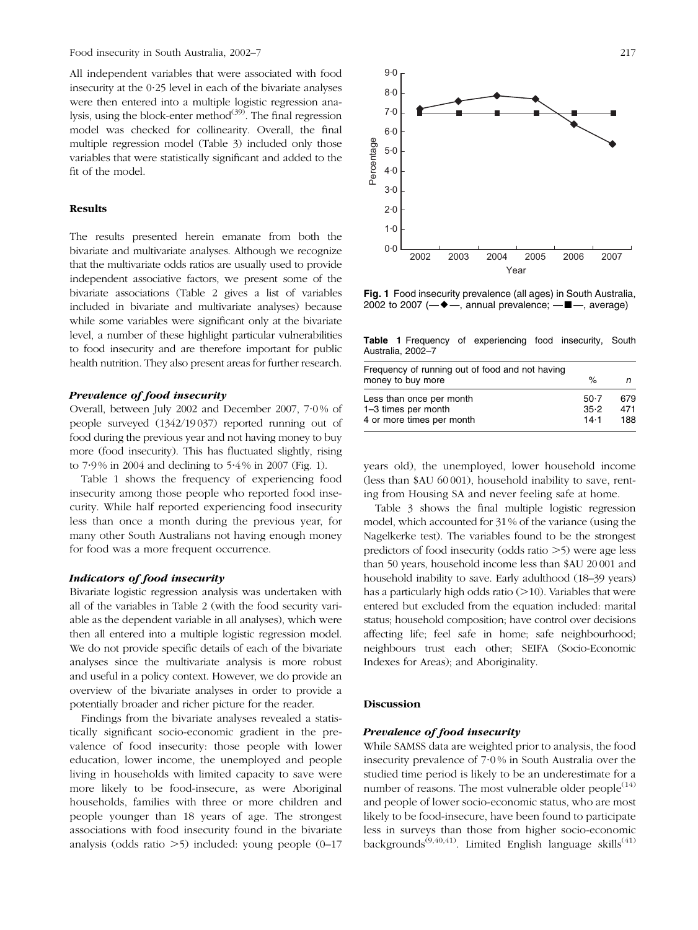All independent variables that were associated with food insecurity at the  $0.25$  level in each of the bivariate analyses were then entered into a multiple logistic regression analysis, using the block-enter method $(39)$ . The final regression model was checked for collinearity. Overall, the final multiple regression model (Table 3) included only those variables that were statistically significant and added to the fit of the model.

## Results

The results presented herein emanate from both the bivariate and multivariate analyses. Although we recognize that the multivariate odds ratios are usually used to provide independent associative factors, we present some of the bivariate associations (Table 2 gives a list of variables included in bivariate and multivariate analyses) because while some variables were significant only at the bivariate level, a number of these highlight particular vulnerabilities to food insecurity and are therefore important for public health nutrition. They also present areas for further research.

#### Prevalence of food insecurity

Overall, between July 2002 and December 2007, 7?0% of people surveyed (1342/19037) reported running out of food during the previous year and not having money to buy more (food insecurity). This has fluctuated slightly, rising to  $7.9\%$  in 2004 and declining to  $5.4\%$  in 2007 (Fig. 1).

Table 1 shows the frequency of experiencing food insecurity among those people who reported food insecurity. While half reported experiencing food insecurity less than once a month during the previous year, for many other South Australians not having enough money for food was a more frequent occurrence.

#### Indicators of food insecurity

Bivariate logistic regression analysis was undertaken with all of the variables in Table 2 (with the food security variable as the dependent variable in all analyses), which were then all entered into a multiple logistic regression model. We do not provide specific details of each of the bivariate analyses since the multivariate analysis is more robust and useful in a policy context. However, we do provide an overview of the bivariate analyses in order to provide a potentially broader and richer picture for the reader.

Findings from the bivariate analyses revealed a statistically significant socio-economic gradient in the prevalence of food insecurity: those people with lower education, lower income, the unemployed and people living in households with limited capacity to save were more likely to be food-insecure, as were Aboriginal households, families with three or more children and people younger than 18 years of age. The strongest associations with food insecurity found in the bivariate analysis (odds ratio  $>5$ ) included: young people (0–17



Fig. 1 Food insecurity prevalence (all ages) in South Australia, 2002 to 2007 ( $-\blacklozenge$ —, annual prevalence;  $-\blacksquare$ —, average)

Table 1 Frequency of experiencing food insecurity, South Australia, 2002–7

| Frequency of running out of food and not having<br>money to buy more | $\frac{1}{2}$ | n   |
|----------------------------------------------------------------------|---------------|-----|
| Less than once per month                                             | $50-7$        | 679 |
| 1-3 times per month                                                  | 35.2          | 471 |
| 4 or more times per month                                            | $14 - 1$      | 188 |

years old), the unemployed, lower household income (less than \$AU 60 001), household inability to save, renting from Housing SA and never feeling safe at home.

Table 3 shows the final multiple logistic regression model, which accounted for 31% of the variance (using the Nagelkerke test). The variables found to be the strongest predictors of food insecurity (odds ratio  $>5$ ) were age less than 50 years, household income less than \$AU 20001 and household inability to save. Early adulthood (18–39 years) has a particularly high odds ratio  $(>10)$ . Variables that were entered but excluded from the equation included: marital status; household composition; have control over decisions affecting life; feel safe in home; safe neighbourhood; neighbours trust each other; SEIFA (Socio-Economic Indexes for Areas); and Aboriginality.

#### Discussion

#### Prevalence of food insecurity

While SAMSS data are weighted prior to analysis, the food insecurity prevalence of 7?0 % in South Australia over the studied time period is likely to be an underestimate for a number of reasons. The most vulnerable older people $(14)$ and people of lower socio-economic status, who are most likely to be food-insecure, have been found to participate less in surveys than those from higher socio-economic backgrounds<sup>(9,40,41)</sup>. Limited English language skills<sup>(41)</sup>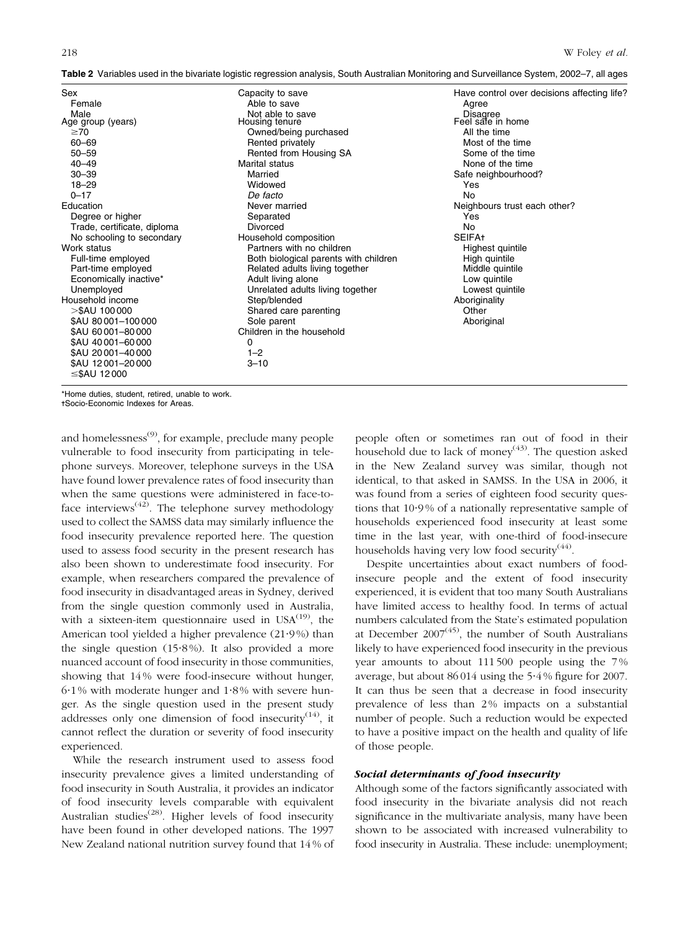|  |  | <b>Table 2</b> Variables used in the bivariate logistic regression analysis, South Australian Monitoring and Surveillance System, 2002–7, all ages |  |  |
|--|--|----------------------------------------------------------------------------------------------------------------------------------------------------|--|--|
|  |  |                                                                                                                                                    |  |  |

| Sex<br>Female<br>Male<br>Age group (years)<br>$\geq 70$<br>$60 - 69$<br>$50 - 59$<br>$40 - 49$<br>$30 - 39$<br>$18 - 29$<br>$0 - 17$<br>Education<br>Degree or higher<br>Trade, certificate, diploma<br>No schooling to secondary<br>Work status<br>Full-time employed<br>Part-time employed<br>Economically inactive*<br>Unemployed<br>Household income<br>$>$ \$AU 100 000<br>\$AU 80001-100000<br>\$AU 60001-80000<br>\$AU 40001-60000<br>\$AU 20001-40000<br>\$AU 12001-20000<br>$\leq$ \$AU 12000 | Capacity to save<br>Able to save<br>Not able to save<br>Housing tenure<br>Owned/being purchased<br>Rented privately<br>Rented from Housing SA<br>Marital status<br>Married<br>Widowed<br>De facto<br>Never married<br>Separated<br>Divorced<br>Household composition<br>Partners with no children<br>Both biological parents with children<br>Related adults living together<br>Adult living alone<br>Unrelated adults living together<br>Step/blended<br>Shared care parenting<br>Sole parent<br>Children in the household<br>0<br>$1 - 2$<br>$3 - 10$ | Have control over decisions affecting life?<br>Agree<br>Disagree<br>Feel safe in home<br>All the time<br>Most of the time<br>Some of the time<br>None of the time<br>Safe neighbourhood?<br>Yes<br>No<br>Neighbours trust each other?<br>Yes<br><b>No</b><br>SEIFA+<br>Highest quintile<br>High quintile<br>Middle quintile<br>Low quintile<br>Lowest quintile<br>Aboriginality<br>Other<br>Aboriginal |
|--------------------------------------------------------------------------------------------------------------------------------------------------------------------------------------------------------------------------------------------------------------------------------------------------------------------------------------------------------------------------------------------------------------------------------------------------------------------------------------------------------|---------------------------------------------------------------------------------------------------------------------------------------------------------------------------------------------------------------------------------------------------------------------------------------------------------------------------------------------------------------------------------------------------------------------------------------------------------------------------------------------------------------------------------------------------------|--------------------------------------------------------------------------------------------------------------------------------------------------------------------------------------------------------------------------------------------------------------------------------------------------------------------------------------------------------------------------------------------------------|

\*Home duties, student, retired, unable to work.

-Socio-Economic Indexes for Areas.

and homelessness<sup>(9)</sup>, for example, preclude many people vulnerable to food insecurity from participating in telephone surveys. Moreover, telephone surveys in the USA have found lower prevalence rates of food insecurity than when the same questions were administered in face-toface interviews<sup> $(42)$ </sup>. The telephone survey methodology used to collect the SAMSS data may similarly influence the food insecurity prevalence reported here. The question used to assess food security in the present research has also been shown to underestimate food insecurity. For example, when researchers compared the prevalence of food insecurity in disadvantaged areas in Sydney, derived from the single question commonly used in Australia, with a sixteen-item questionnaire used in  $USA^{(19)}$ , the American tool yielded a higher prevalence (21.9%) than the single question  $(15.8\%)$ . It also provided a more nuanced account of food insecurity in those communities, showing that 14 % were food-insecure without hunger,  $6.1\%$  with moderate hunger and  $1.8\%$  with severe hunger. As the single question used in the present study addresses only one dimension of food insecurity<sup>(14)</sup>, it cannot reflect the duration or severity of food insecurity experienced.

While the research instrument used to assess food insecurity prevalence gives a limited understanding of food insecurity in South Australia, it provides an indicator of food insecurity levels comparable with equivalent Australian studies<sup> $(28)$ </sup>. Higher levels of food insecurity have been found in other developed nations. The 1997 New Zealand national nutrition survey found that 14 % of

people often or sometimes ran out of food in their household due to lack of money<sup>(43)</sup>. The question asked in the New Zealand survey was similar, though not identical, to that asked in SAMSS. In the USA in 2006, it was found from a series of eighteen food security questions that 10.9% of a nationally representative sample of households experienced food insecurity at least some time in the last year, with one-third of food-insecure households having very low food security $(44)$ .

Despite uncertainties about exact numbers of foodinsecure people and the extent of food insecurity experienced, it is evident that too many South Australians have limited access to healthy food. In terms of actual numbers calculated from the State's estimated population at December  $2007^{(45)}$ , the number of South Australians likely to have experienced food insecurity in the previous year amounts to about 111 500 people using the 7 % average, but about  $86014$  using the  $5.4\%$  figure for 2007. It can thus be seen that a decrease in food insecurity prevalence of less than 2% impacts on a substantial number of people. Such a reduction would be expected to have a positive impact on the health and quality of life of those people.

#### Social determinants of food insecurity

Although some of the factors significantly associated with food insecurity in the bivariate analysis did not reach significance in the multivariate analysis, many have been shown to be associated with increased vulnerability to food insecurity in Australia. These include: unemployment;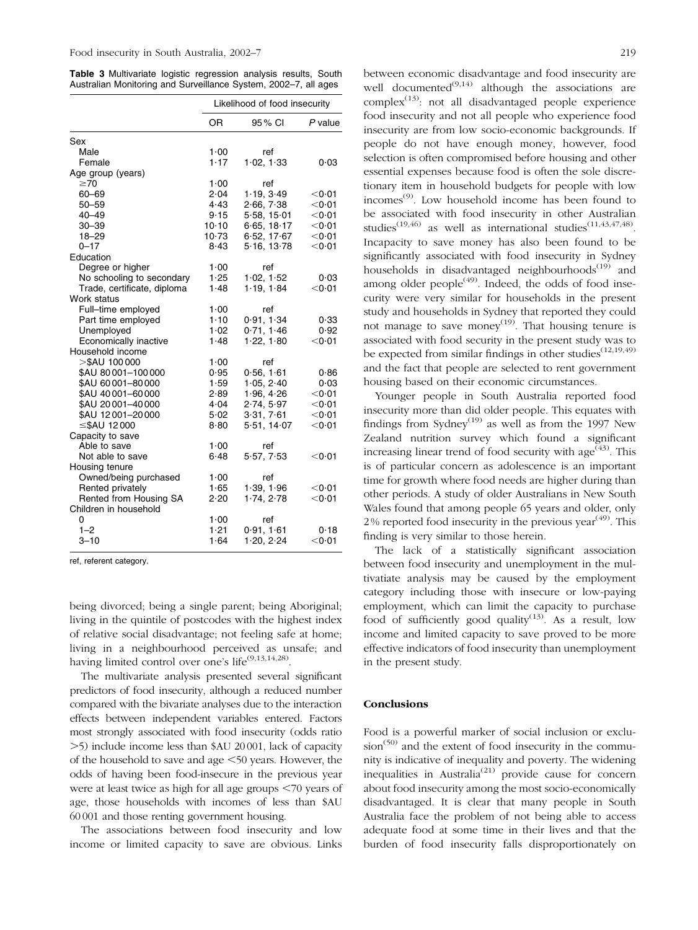Table 3 Multivariate logistic regression analysis results, South Australian Monitoring and Surveillance System, 2002–7, all ages

|                             | Likelihood of food insecurity |             |                  |
|-----------------------------|-------------------------------|-------------|------------------|
|                             | OR                            | 95% CI      | $P$ value        |
| Sex                         |                               |             |                  |
| Male                        | 1.00                          | ref         |                  |
| Female                      | 1.17                          | 1.02, 1.33  | 0.03             |
| Age group (years)           |                               |             |                  |
| $\geq 70$                   | 1.00                          | ref         |                  |
| 60-69                       | 2.04                          | 1.19, 3.49  | <0∙01            |
| $50 - 59$                   | 4.43                          | 2.66, 7.38  | $<$ 0 $\cdot$ 01 |
| $40 - 49$                   | 9.15                          | 5.58, 15.01 | $<$ 0 $\cdot$ 01 |
| $30 - 39$                   | 10.10                         | 6.65, 18.17 | $<$ 0 $\cdot$ 01 |
| $18 - 29$                   | 10.73                         | 6.52, 17.67 | $<$ 0 $\cdot$ 01 |
| $0 - 17$                    | 8.43                          | 5.16, 13.78 | $<$ 0 $\cdot$ 01 |
| Education                   |                               |             |                  |
| Degree or higher            | 1.00                          | ref         |                  |
| No schooling to secondary   | 1.25                          | 1.02, 1.52  | 0.03             |
| Trade, certificate, diploma | 1.48                          | 1.19, 1.84  | $<$ 0 $\cdot$ 01 |
| Work status                 |                               |             |                  |
| Full-time employed          | 1.00                          | ref         |                  |
| Part time employed          | 1.10                          | 0.91, 1.34  | 0.33             |
| Unemployed                  | 1.02                          | 0.71, 1.46  | 0.92             |
| Economically inactive       | 1.48                          | 1.22, 1.80  | $<$ 0 $\cdot$ 01 |
| Household income            |                               |             |                  |
| $>$ \$AU 100 $000$          | 1.00                          | ref         |                  |
| \$AU 80001-100000           | 0.95                          | 0.56, 1.61  | 0.86             |
| \$AU 60001-80000            | 1.59                          | 1.05, 2.40  | 0.03             |
| \$AU 40001-60000            | 2.89                          | 1.96, 4.26  | $<$ 0 $\cdot$ 01 |
| \$AU 20 001-40 000          | 4.04                          | 2.74, 5.97  | $<$ 0 $\cdot$ 01 |
| \$AU 12001–20000            | 5.02                          | 3.31, 7.61  | $<$ 0 $\cdot$ 01 |
| ≤\$AU 12000                 | 8.80                          | 5.51, 14.07 | $<$ 0 $\cdot$ 01 |
| Capacity to save            |                               |             |                  |
| Able to save                | 1.00                          | ref         |                  |
| Not able to save            | 6.48                          | 5.57, 7.53  | $<$ 0 $\cdot$ 01 |
| Housing tenure              |                               |             |                  |
| Owned/being purchased       | 1.00                          | ref         |                  |
| Rented privately            | 1.65                          | 1.39, 1.96  | $<$ 0 $\cdot$ 01 |
| Rented from Housing SA      | 2.20                          | 1.74, 2.78  | <0∙01            |
| Children in household       |                               |             |                  |
| 0                           | 1.00                          | ref         |                  |
| $1 - 2$                     | 1.21                          | 0.91, 1.61  | 0.18             |
| $3 - 10$                    | 1.64                          | 1.20, 2.24  | $<$ 0 $\cdot$ 01 |

ref, referent category.

being divorced; being a single parent; being Aboriginal; living in the quintile of postcodes with the highest index of relative social disadvantage; not feeling safe at home; living in a neighbourhood perceived as unsafe; and having limited control over one's life $^{(9,13,14,28)}$ .

The multivariate analysis presented several significant predictors of food insecurity, although a reduced number compared with the bivariate analyses due to the interaction effects between independent variables entered. Factors most strongly associated with food insecurity (odds ratio .5) include income less than \$AU 20001, lack of capacity of the household to save and age  $\leq$ 50 years. However, the odds of having been food-insecure in the previous year were at least twice as high for all age groups  $\leq 70$  years of age, those households with incomes of less than \$AU 60001 and those renting government housing.

The associations between food insecurity and low income or limited capacity to save are obvious. Links between economic disadvantage and food insecurity are well documented<sup> $(9,14)$ </sup> although the associations are  $complex^{(13)}$ : not all disadvantaged people experience food insecurity and not all people who experience food insecurity are from low socio-economic backgrounds. If people do not have enough money, however, food selection is often compromised before housing and other essential expenses because food is often the sole discretionary item in household budgets for people with low incomes(9). Low household income has been found to be associated with food insecurity in other Australian studies<sup>(19,46)</sup> as well as international studies<sup>(11,43,47,48)</sup>. Incapacity to save money has also been found to be significantly associated with food insecurity in Sydney households in disadvantaged neighbourhoods $^{(19)}$  and among older people $(49)$ . Indeed, the odds of food insecurity were very similar for households in the present study and households in Sydney that reported they could not manage to save money<sup>(19)</sup>. That housing tenure is associated with food security in the present study was to be expected from similar findings in other studies<sup> $(12,19,49)$ </sup> and the fact that people are selected to rent government housing based on their economic circumstances.

Younger people in South Australia reported food insecurity more than did older people. This equates with findings from Sydney<sup>(19)</sup> as well as from the 1997 New Zealand nutrition survey which found a significant increasing linear trend of food security with age<sup> $(43)$ </sup>. This is of particular concern as adolescence is an important time for growth where food needs are higher during than other periods. A study of older Australians in New South Wales found that among people 65 years and older, only 2% reported food insecurity in the previous year<sup> $(49)$ </sup>. This finding is very similar to those herein.

The lack of a statistically significant association between food insecurity and unemployment in the multivatiate analysis may be caused by the employment category including those with insecure or low-paying employment, which can limit the capacity to purchase food of sufficiently good quality<sup> $(13)$ </sup>. As a result, low income and limited capacity to save proved to be more effective indicators of food insecurity than unemployment in the present study.

## Conclusions

Food is a powerful marker of social inclusion or exclu $sion^{(50)}$  and the extent of food insecurity in the community is indicative of inequality and poverty. The widening inequalities in Australia<sup>(21)</sup> provide cause for concern about food insecurity among the most socio-economically disadvantaged. It is clear that many people in South Australia face the problem of not being able to access adequate food at some time in their lives and that the burden of food insecurity falls disproportionately on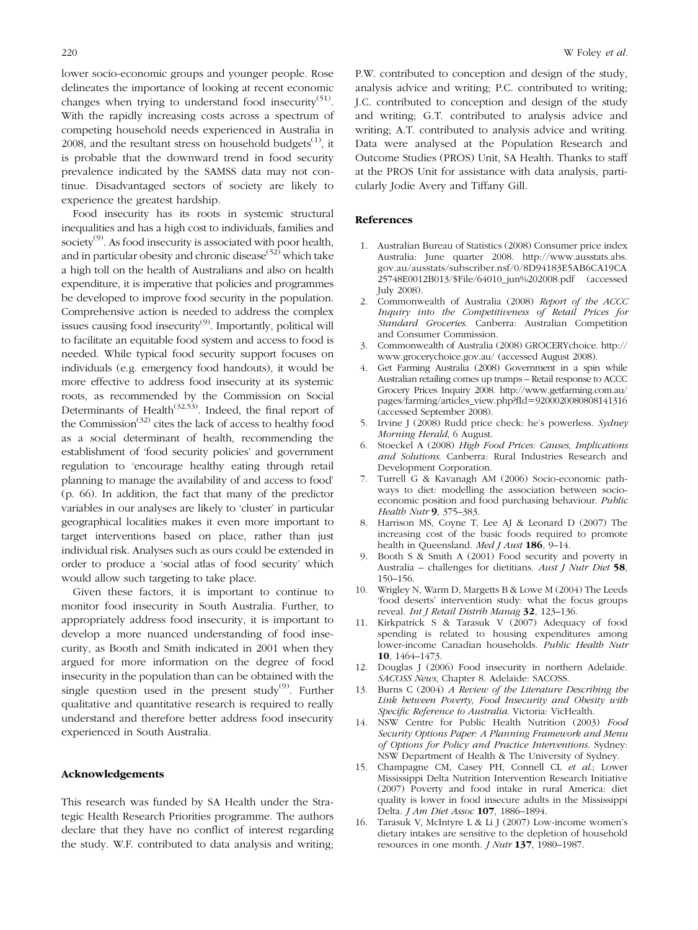lower socio-economic groups and younger people. Rose delineates the importance of looking at recent economic changes when trying to understand food insecurity<sup> $(51)$ </sup>. With the rapidly increasing costs across a spectrum of competing household needs experienced in Australia in 2008, and the resultant stress on household budgets $^{(1)}$ , it is probable that the downward trend in food security prevalence indicated by the SAMSS data may not continue. Disadvantaged sectors of society are likely to experience the greatest hardship.

Food insecurity has its roots in systemic structural inequalities and has a high cost to individuals, families and society<sup>(9)</sup>. As food insecurity is associated with poor health, and in particular obesity and chronic disease<sup> $(52)$ </sup> which take a high toll on the health of Australians and also on health expenditure, it is imperative that policies and programmes be developed to improve food security in the population. Comprehensive action is needed to address the complex issues causing food insecurity<sup> $(9)$ </sup>. Importantly, political will to facilitate an equitable food system and access to food is needed. While typical food security support focuses on individuals (e.g. emergency food handouts), it would be more effective to address food insecurity at its systemic roots, as recommended by the Commission on Social Determinants of Health $(32,53)$ . Indeed, the final report of the Commission<sup> $(32)$ </sup> cites the lack of access to healthy food as a social determinant of health, recommending the establishment of 'food security policies' and government regulation to 'encourage healthy eating through retail planning to manage the availability of and access to food' (p. 66). In addition, the fact that many of the predictor variables in our analyses are likely to 'cluster' in particular geographical localities makes it even more important to target interventions based on place, rather than just individual risk. Analyses such as ours could be extended in order to produce a 'social atlas of food security' which would allow such targeting to take place.

Given these factors, it is important to continue to monitor food insecurity in South Australia. Further, to appropriately address food insecurity, it is important to develop a more nuanced understanding of food insecurity, as Booth and Smith indicated in 2001 when they argued for more information on the degree of food insecurity in the population than can be obtained with the single question used in the present study $(9)$ . Further qualitative and quantitative research is required to really understand and therefore better address food insecurity experienced in South Australia.

#### Acknowledgements

This research was funded by SA Health under the Strategic Health Research Priorities programme. The authors declare that they have no conflict of interest regarding the study. W.F. contributed to data analysis and writing;

P.W. contributed to conception and design of the study, analysis advice and writing; P.C. contributed to writing; J.C. contributed to conception and design of the study and writing; G.T. contributed to analysis advice and writing; A.T. contributed to analysis advice and writing. Data were analysed at the Population Research and Outcome Studies (PROS) Unit, SA Health. Thanks to staff at the PROS Unit for assistance with data analysis, particularly Jodie Avery and Tiffany Gill.

#### References

- 1. Australian Bureau of Statistics (2008) Consumer price index Australia: June quarter 2008. http://www.ausstats.abs. gov.au/ausstats/subscriber.nsf/0/8D94183E5AB6CA19CA 25748E0012B013/\$File/64010\_jun%202008.pdf (accessed July 2008).
- 2. Commonwealth of Australia (2008) Report of the ACCC Inquiry into the Competitiveness of Retail Prices for Standard Groceries. Canberra: Australian Competition and Consumer Commission.
- 3. Commonwealth of Australia (2008) GROCERYchoice. http:// www.grocerychoice.gov.au/ (accessed August 2008).
- 4. Get Farming Australia (2008) Government in a spin while Australian retailing comes up trumps – Retail response to ACCC Grocery Prices Inquiry 2008. http://www.getfarming.com.au/ pages/farming/articles\_view.php?fId=9200020080808141316 (accessed September 2008).
- 5. Irvine J (2008) Rudd price check: he's powerless. Sydney Morning Herald, 6 August.
- 6. Stoeckel A (2008) High Food Prices: Causes, Implications and Solutions. Canberra: Rural Industries Research and Development Corporation.
- 7. Turrell G & Kavanagh AM (2006) Socio-economic pathways to diet: modelling the association between socioeconomic position and food purchasing behaviour. Public Health Nutr 9, 375–383.
- 8. Harrison MS, Coyne T, Lee AJ & Leonard D (2007) The increasing cost of the basic foods required to promote health in Queensland. Med J Aust 186, 9-14.
- 9. Booth S & Smith A (2001) Food security and poverty in Australia – challenges for dietitians. Aust J Nutr Diet 58, 150–156.
- 10. Wrigley N, Warm D, Margetts B & Lowe M (2004) The Leeds 'food deserts' intervention study: what the focus groups reveal. Int J Retail Distrib Manag 32, 123–136.
- Kirkpatrick S & Tarasuk V (2007) Adequacy of food spending is related to housing expenditures among lower-income Canadian households. Public Health Nutr 10, 1464–1473.
- 12. Douglas J (2006) Food insecurity in northern Adelaide. SACOSS News, Chapter 8. Adelaide: SACOSS.
- 13. Burns C (2004) A Review of the Literature Describing the Link between Poverty, Food Insecurity and Obesity with Specific Reference to Australia. Victoria: VicHealth.
- 14. NSW Centre for Public Health Nutrition (2003) Food Security Options Paper: A Planning Framework and Menu of Options for Policy and Practice Interventions. Sydney: NSW Department of Health & The University of Sydney.
- 15. Champagne CM, Casey PH, Connell CL et al.; Lower Mississippi Delta Nutrition Intervention Research Initiative (2007) Poverty and food intake in rural America: diet quality is lower in food insecure adults in the Mississippi Delta. J Am Diet Assoc 107, 1886–1894.
- 16. Tarasuk V, McIntyre L & Li J (2007) Low-income women's dietary intakes are sensitive to the depletion of household resources in one month. *J Nutr* 137, 1980-1987.